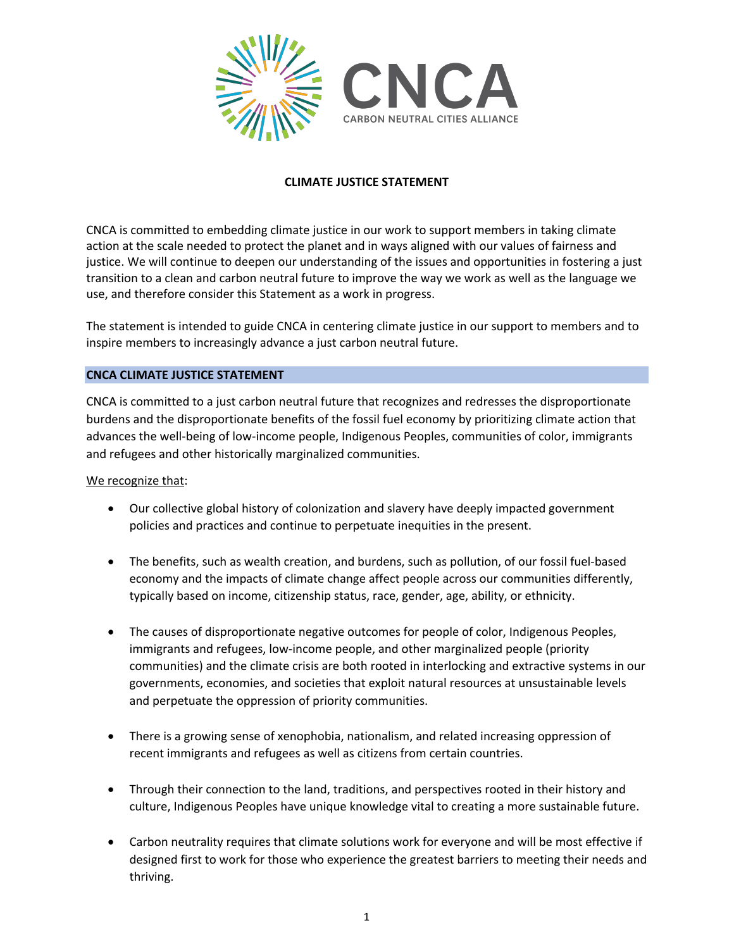

## **CLIMATE JUSTICE STATEMENT**

CNCA is committed to embedding climate justice in our work to support members in taking climate action at the scale needed to protect the planet and in ways aligned with our values of fairness and justice. We will continue to deepen our understanding of the issues and opportunities in fostering a just transition to a clean and carbon neutral future to improve the way we work as well as the language we use, and therefore consider this Statement as a work in progress.

The statement is intended to guide CNCA in centering climate justice in our support to members and to inspire members to increasingly advance a just carbon neutral future.

## **CNCA CLIMATE JUSTICE STATEMENT**

CNCA is committed to a just carbon neutral future that recognizes and redresses the disproportionate burdens and the disproportionate benefits of the fossil fuel economy by prioritizing climate action that advances the well-being of low-income people, Indigenous Peoples, communities of color, immigrants and refugees and other historically marginalized communities.

We recognize that:

- Our collective global history of colonization and slavery have deeply impacted government policies and practices and continue to perpetuate inequities in the present.
- The benefits, such as wealth creation, and burdens, such as pollution, of our fossil fuel-based economy and the impacts of climate change affect people across our communities differently, typically based on income, citizenship status, race, gender, age, ability, or ethnicity.
- The causes of disproportionate negative outcomes for people of color, Indigenous Peoples, immigrants and refugees, low-income people, and other marginalized people (priority communities) and the climate crisis are both rooted in interlocking and extractive systems in our governments, economies, and societies that exploit natural resources at unsustainable levels and perpetuate the oppression of priority communities.
- There is a growing sense of xenophobia, nationalism, and related increasing oppression of recent immigrants and refugees as well as citizens from certain countries.
- Through their connection to the land, traditions, and perspectives rooted in their history and culture, Indigenous Peoples have unique knowledge vital to creating a more sustainable future.
- Carbon neutrality requires that climate solutions work for everyone and will be most effective if designed first to work for those who experience the greatest barriers to meeting their needs and thriving.